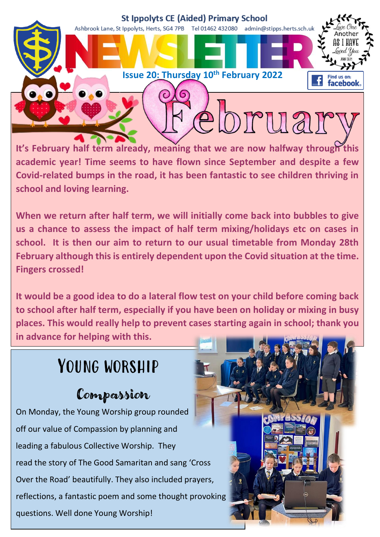

**It's February half term already, meaning that we are now halfway through this academic year! Time seems to have flown since September and despite a few Covid-related bumps in the road, it has been fantastic to see children thriving in school and loving learning.**

**When we return after half term, we will initially come back into bubbles to give us a chance to assess the impact of half term mixing/holidays etc on cases in school. It is then our aim to return to our usual timetable from Monday 28th February although this is entirely dependent upon the Covid situation at the time. Fingers crossed!**

**It would be a good idea to do a lateral flow test on your child before coming back to school after half term, especially if you have been on holiday or mixing in busy places. This would really help to prevent cases starting again in school; thank you in advance for helping with this.** 

# YOUNG WORSHIP

### Compassion

On Monday, the Young Worship group rounded off our value of Compassion by planning and leading a fabulous Collective Worship. They read the story of The Good Samaritan and sang 'Cross Over the Road' beautifully. They also included prayers, reflections, a fantastic poem and some thought provoking questions. Well done Young Worship!

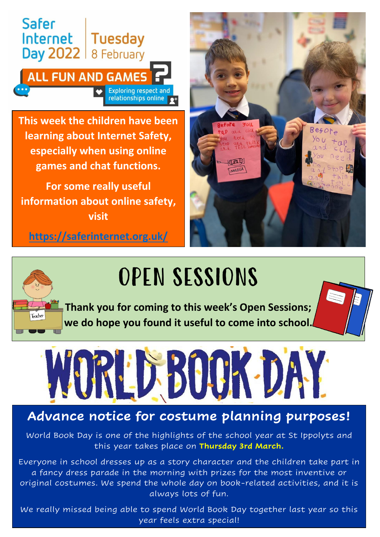

**This week the children have been learning about Internet Safety, especially when using online games and chat functions.**

**For some really useful information about online safety, visit**

**<https://saferinternet.org.uk/>**





OPEN SESSIONS

**Thank you for coming to this week's Open Sessions; we do hope you found it useful to come into school.**



### **Advance notice for costume planning purposes!**

World Book Day is one of the highlights of the school year at St Ippolyts and this year takes place on **Thursday 3rd March.**

Everyone in school dresses up as a story character and the children take part in a fancy dress parade in the morning with prizes for the most inventive or original costumes. We spend the whole day on book-related activities, and it is always lots of fun.

We really missed being able to spend World Book Day together last year so this year feels extra special!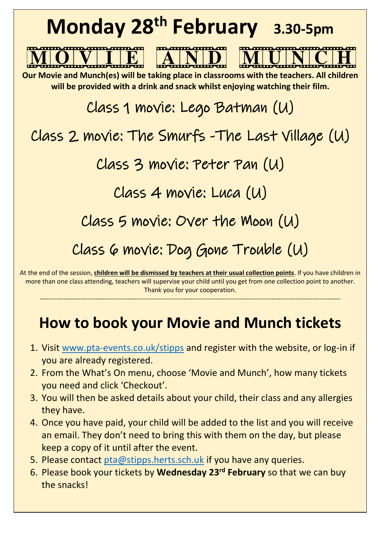

more than one class attending, teachers will supervise your child until you get from one collection point to another. Thank you for your cooperation.

## **How to book your Movie and Munch tickets**

--------------------------------------------------------------------------------------------------------------------------------------------

- 1. Visit [www.pta-events.co.uk/stipps](http://www.pta-events.co.uk/stipps) and register with the website, or log-in if you are already registered.
- 2. From the What's On menu, choose 'Movie and Munch', how many tickets you need and click 'Checkout'.
- 3. You will then be asked details about your child, their class and any allergies they have.
- 4. Once you have paid, your child will be added to the list and you will receive an email. They don't need to bring this with them on the day, but please keep a copy of it until after the event.
- 5. Please contact [pta@stipps.herts.sch.uk](mailto:pta@stipps.herts.sch.uk) if you have any queries.
- 6. Please book your tickets by **Wednesday 23rd February** so that we can buy the snacks!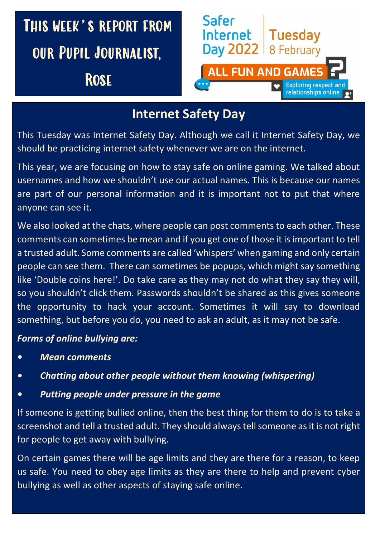

### **Internet Safety Day**

This Tuesday was Internet Safety Day. Although we call it Internet Safety Day, we should be practicing internet safety whenever we are on the internet.

This year, we are focusing on how to stay safe on online gaming. We talked about usernames and how we shouldn't use our actual names. This is because our names are part of our personal information and it is important not to put that where anyone can see it.

We also looked at the chats, where people can post comments to each other. These comments can sometimes be mean and if you get one of those it is important to tell a trusted adult. Some comments are called 'whispers' when gaming and only certain people can see them. There can sometimes be popups, which might say something like 'Double coins here!'. Do take care as they may not do what they say they will, so you shouldn't click them. Passwords shouldn't be shared as this gives someone the opportunity to hack your account. Sometimes it will say to download something, but before you do, you need to ask an adult, as it may not be safe.

### *Forms of online bullying are:*

- *• Mean comments*
- *• Chatting about other people without them knowing (whispering)*
- *• Putting people under pressure in the game*

If someone is getting bullied online, then the best thing for them to do is to take a screenshot and tell a trusted adult. They should always tell someone as it is not right for people to get away with bullying.

On certain games there will be age limits and they are there for a reason, to keep us safe. You need to obey age limits as they are there to help and prevent cyber bullying as well as other aspects of staying safe online.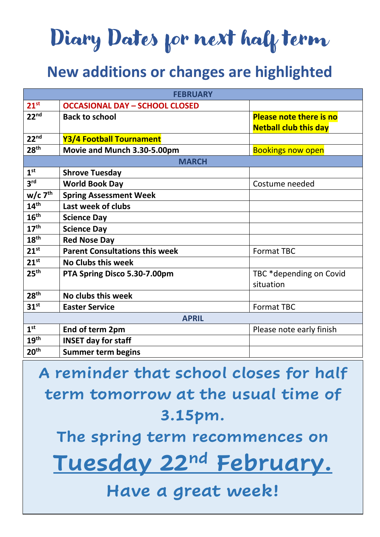# Diary Dates for next half term

## **New additions or changes are highlighted**

| <b>FEBRUARY</b>       |                                       |                                |
|-----------------------|---------------------------------------|--------------------------------|
| $21^{st}$             | <b>OCCASIONAL DAY - SCHOOL CLOSED</b> |                                |
| 22 <sup>nd</sup>      | <b>Back to school</b>                 | <b>Please note there is no</b> |
|                       |                                       | <b>Netball club this day</b>   |
| 22 <sup>nd</sup>      | Y3/4 Football Tournament              |                                |
| 28 <sup>th</sup>      | Movie and Munch 3.30-5.00pm           | <b>Bookings now open</b>       |
| <b>MARCH</b>          |                                       |                                |
| 1 <sup>st</sup>       | <b>Shrove Tuesday</b>                 |                                |
| 3 <sup>rd</sup>       | <b>World Book Day</b>                 | Costume needed                 |
| $w/c$ 7 <sup>th</sup> | <b>Spring Assessment Week</b>         |                                |
| 14 <sup>th</sup>      | Last week of clubs                    |                                |
| 16 <sup>th</sup>      | <b>Science Day</b>                    |                                |
| 17 <sup>th</sup>      | <b>Science Day</b>                    |                                |
| 18 <sup>th</sup>      | <b>Red Nose Day</b>                   |                                |
| $21^{st}$             | <b>Parent Consultations this week</b> | <b>Format TBC</b>              |
| $21^{st}$             | <b>No Clubs this week</b>             |                                |
| 25 <sup>th</sup>      | PTA Spring Disco 5.30-7.00pm          | TBC *depending on Covid        |
|                       |                                       | situation                      |
| 28 <sup>th</sup>      | No clubs this week                    |                                |
| 31 <sup>st</sup>      | <b>Easter Service</b>                 | <b>Format TBC</b>              |
| <b>APRIL</b>          |                                       |                                |
| 1 <sup>st</sup>       | End of term 2pm                       | Please note early finish       |
| 19 <sup>th</sup>      | <b>INSET day for staff</b>            |                                |
| 20 <sup>th</sup>      | <b>Summer term begins</b>             |                                |

**A reminder that school closes for half term tomorrow at the usual time of 3.15pm.**

**The spring term recommences on**

**Tuesday 22nd February.**

### **Have a great week!**